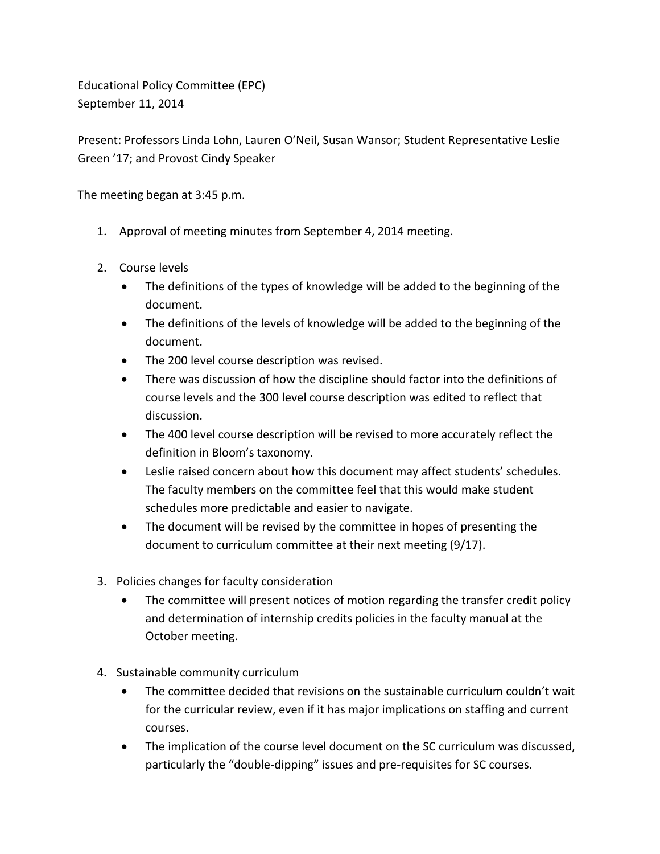Educational Policy Committee (EPC) September 11, 2014

Present: Professors Linda Lohn, Lauren O'Neil, Susan Wansor; Student Representative Leslie Green '17; and Provost Cindy Speaker

The meeting began at 3:45 p.m.

- 1. Approval of meeting minutes from September 4, 2014 meeting.
- 2. Course levels
	- The definitions of the types of knowledge will be added to the beginning of the document.
	- The definitions of the levels of knowledge will be added to the beginning of the document.
	- The 200 level course description was revised.
	- There was discussion of how the discipline should factor into the definitions of course levels and the 300 level course description was edited to reflect that discussion.
	- The 400 level course description will be revised to more accurately reflect the definition in Bloom's taxonomy.
	- Leslie raised concern about how this document may affect students' schedules. The faculty members on the committee feel that this would make student schedules more predictable and easier to navigate.
	- The document will be revised by the committee in hopes of presenting the document to curriculum committee at their next meeting (9/17).
- 3. Policies changes for faculty consideration
	- The committee will present notices of motion regarding the transfer credit policy and determination of internship credits policies in the faculty manual at the October meeting.
- 4. Sustainable community curriculum
	- The committee decided that revisions on the sustainable curriculum couldn't wait for the curricular review, even if it has major implications on staffing and current courses.
	- The implication of the course level document on the SC curriculum was discussed, particularly the "double-dipping" issues and pre-requisites for SC courses.